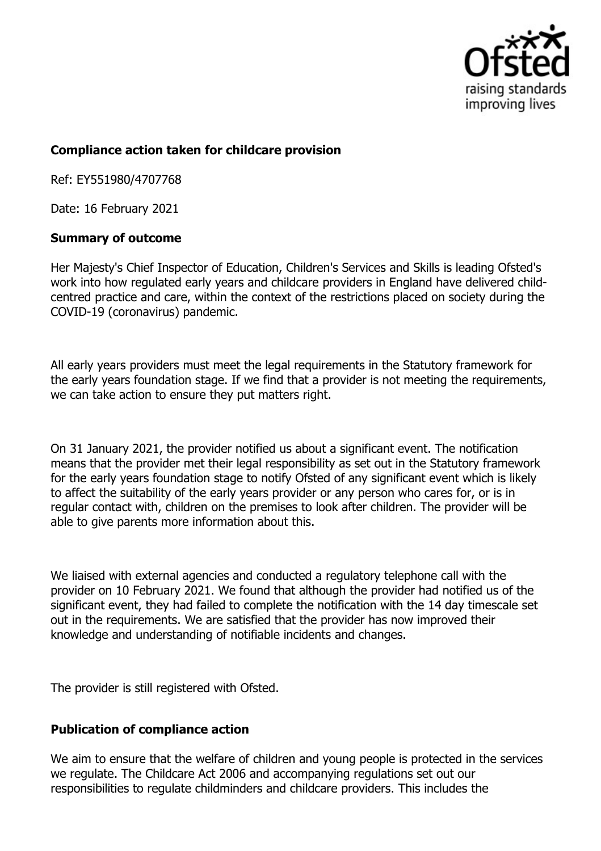

## **Compliance action taken for childcare provision**

Ref: EY551980/4707768

Date: 16 February 2021

## **Summary of outcome**

Her Majesty's Chief Inspector of Education, Children's Services and Skills is leading Ofsted's work into how regulated early years and childcare providers in England have delivered childcentred practice and care, within the context of the restrictions placed on society during the COVID-19 (coronavirus) pandemic.

All early years providers must meet the legal requirements in the Statutory framework for the early years foundation stage. If we find that a provider is not meeting the requirements, we can take action to ensure they put matters right.

On 31 January 2021, the provider notified us about a significant event. The notification means that the provider met their legal responsibility as set out in the Statutory framework for the early years foundation stage to notify Ofsted of any significant event which is likely to affect the suitability of the early years provider or any person who cares for, or is in regular contact with, children on the premises to look after children. The provider will be able to give parents more information about this.

We liaised with external agencies and conducted a regulatory telephone call with the provider on 10 February 2021. We found that although the provider had notified us of the significant event, they had failed to complete the notification with the 14 day timescale set out in the requirements. We are satisfied that the provider has now improved their knowledge and understanding of notifiable incidents and changes.

The provider is still registered with Ofsted.

## **Publication of compliance action**

We aim to ensure that the welfare of children and young people is protected in the services we regulate. The Childcare Act 2006 and accompanying regulations set out our responsibilities to regulate childminders and childcare providers. This includes the